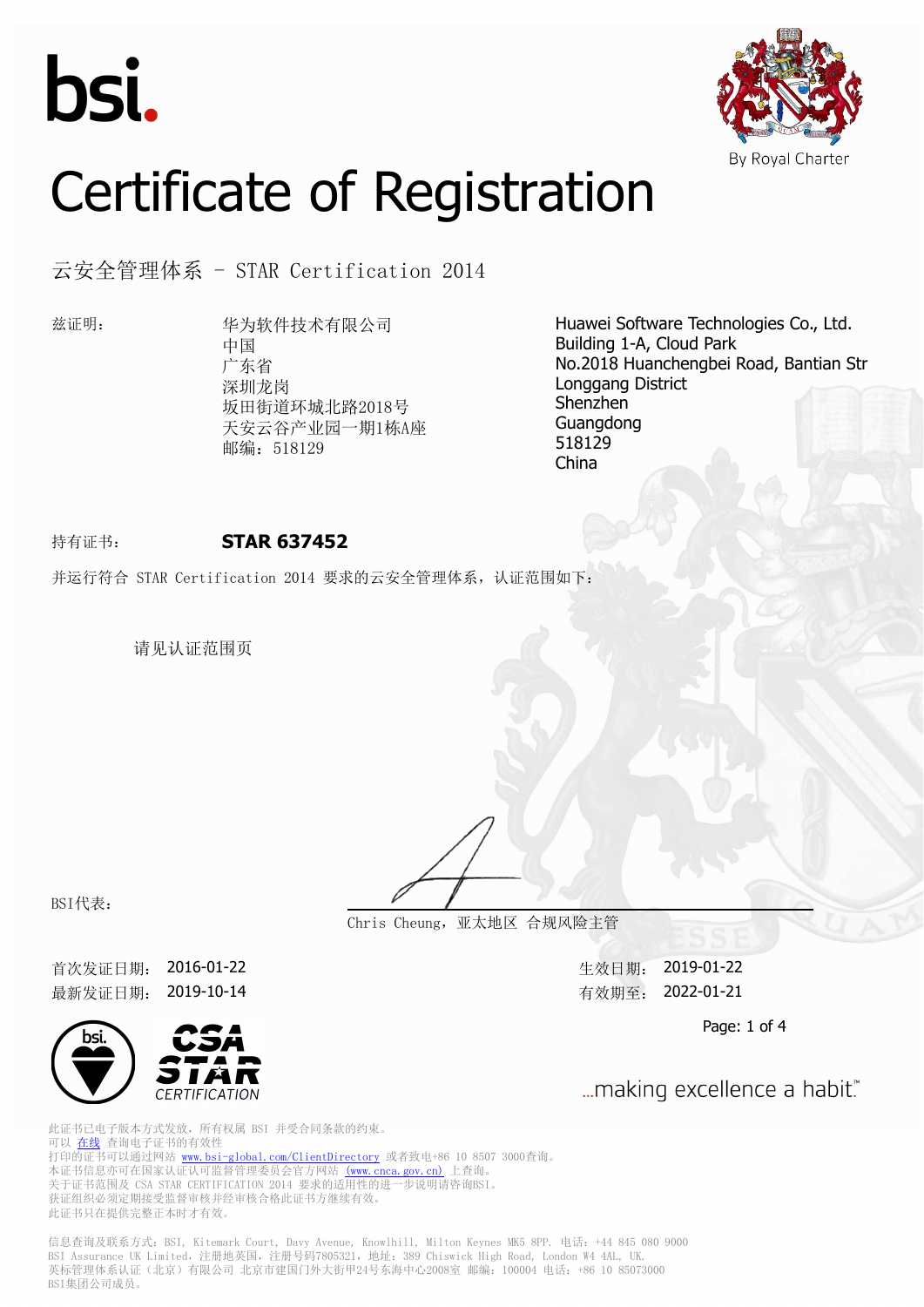



# Certificate of Registration

云安全管理体系 - STAR Certification 2014

兹证明: 华为软件技术有限公司 中国 广东省 深圳龙岗 坂田街道环城北路2018号 天安云谷产业园一期1栋A座 邮编: 518129

Huawei Software Technologies Co., Ltd. Building 1-A, Cloud Park No.2018 Huanchengbei Road, Bantian Str Longgang District Shenzhen Guangdong 518129 China

### 持有证书: **STAR 637452**

并运行符合 STAR Certification 2014 要求的云安全管理体系,认证范围如下:

请见认证范围页

BSI代表:

**Chris Cheung,亚太地区 合规风险主管**

首次发证日期: 2016-01-22 生效日期: 2019-01-22 最新发证日期: 2019-10-14 http://www.facebook.com/discom/discom/discom/discom/discom/discom/discom/discom/



... making excellence a habit."

Page: 1 of 4

此证书已电子版本方式发放,所有权属 BSI 并受合同条款的约束。 可以 [在线](https://pgplus.bsigroup.com/CertificateValidation/CertificateValidator.aspx?CertificateNumber=STAR+637452&ReIssueDate=14%2f10%2f2019&Template=cn) 查询电子证书的有效性 打印的证书可以通过网站 <www.bsi-global.com/ClientDirectory>或者致电+86 10 8507 3000查询。 本证书信息亦可在国家认证认可监督管理委员会官方网站 [\(www.cnca.gov.cn\)](www.cnca.gov.cn) 上查询。 关于证书范围及 CSA STAR CERTIFICATION 2014 要求的适用性的进一步说明请咨询BSI。 人, 监卫, 1911公 ----- -----<br>获证组织必须定期接受监督审核并经审核合格此证书方继续有效。 此证书只在提供完整正本时才有效。

信息查询及联系方式: BSI, Kitemark Court, Davy Avenue, Knowlhill, Milton Keynes MK5 8PP. 电话: +44 845 080 9000 BSI Assurance UK Limited,注册地英国,注册号码7805321,地址:389 Chiswick High Road, London W4 4AL, UK. 英标管理体系认证(北京)有限公司 北京市建国门外大街甲24号东海中心2008室 邮编: 100004 电话: +86 10 85073000 BSI集团公司成员。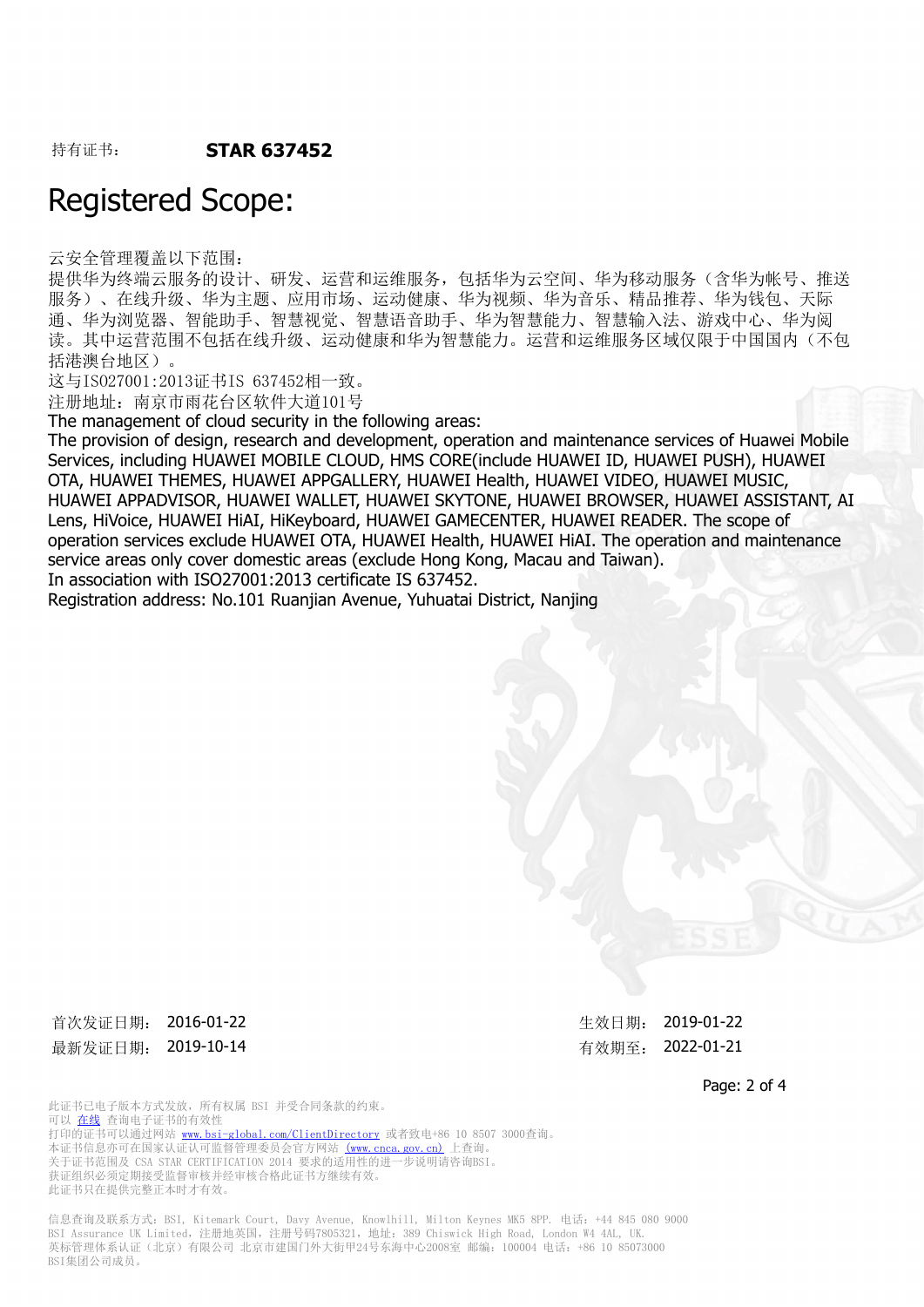## Registered Scope:

云安全管理覆盖以下范围:

提供华为终端云服务的设计、研发、运营和运维服务,包括华为云空间、华为移动服务(含华为帐号、推送 服务)、在线升级、华为主题、应用市场、运动健康、华为视频、华为音乐、精品推荐、华为钱包、天际 通、华为浏览器、智能助手、智慧视觉、智慧语音助手、华为智慧能力、智慧输入法、游戏中心、华为阅 读。其中运营范围不包括在线升级、运动健康和华为智慧能力。运营和运维服务区域仅限于中国国内(不包 括港澳台地区)。

这与ISO27001:2013证书IS 637452相一致。

注册地址:南京市雨花台区软件大道101号

The management of cloud security in the following areas:

The provision of design, research and development, operation and maintenance services of Huawei Mobile Services, including HUAWEI MOBILE CLOUD, HMS CORE(include HUAWEI ID, HUAWEI PUSH), HUAWEI OTA, HUAWEI THEMES, HUAWEI APPGALLERY, HUAWEI Health, HUAWEI VIDEO, HUAWEI MUSIC, HUAWEI APPADVISOR, HUAWEI WALLET, HUAWEI SKYTONE, HUAWEI BROWSER, HUAWEI ASSISTANT, AI Lens, HiVoice, HUAWEI HiAI, HiKeyboard, HUAWEI GAMECENTER, HUAWEI READER. The scope of operation services exclude HUAWEI OTA, HUAWEI Health, HUAWEI HiAI. The operation and maintenance service areas only cover domestic areas (exclude Hong Kong, Macau and Taiwan).

In association with ISO27001:2013 certificate IS 637452.

Registration address: No.101 Ruanjian Avenue, Yuhuatai District, Nanjing

首次发证日期: 2016-01-22 <br> **The Second Automobile 2019-01-22** 最新发证日期: 2019-10-14 http://www.com/discommunity.com/discommunity.com/discommunity.com/discommunity.com/discommu

Page: 2 of 4

此证书已电子版本方式发放,所有权属 BSI 并受合同条款的约束。 可以 [在线](https://pgplus.bsigroup.com/CertificateValidation/CertificateValidator.aspx?CertificateNumber=STAR+637452&ReIssueDate=14%2f10%2f2019&Template=cn) 查询电子证书的有效性 打印的证书可以通过网站 <www.bsi-global.com/ClientDirectory>或者致电+86 10 8507 3000查询。 本证书信息亦可在国家认证认可监督管理委员会官方网站 [\(www.cnca.gov.cn\)](www.cnca.gov.cn) 上查询。 关于证书范围及 CSA STAR CERTIFICATION 2014 要求的适用性的进一步说明请咨询BSI。 获证组织必须定期接受监督审核并经审核合格此证书方继续有效。 此证书只在提供完整正本时才有效。

信息查询及联系方式:BSI, Kitemark Court, Davy Avenue, Knowlhill, Milton Keynes MK5 8PP. 电话:+44 845 080 9000 BSI Assurance UK Limited,注册地英国,注册号码7805321,地址:389 Chiswick High Road, London W4 4AL, UK. 英标管理体系认证(北京)有限公司 北京市建国门外大街甲24号东海中心2008室 邮编: 100004 电话: +86 10 85073000 BSI集团公司成员。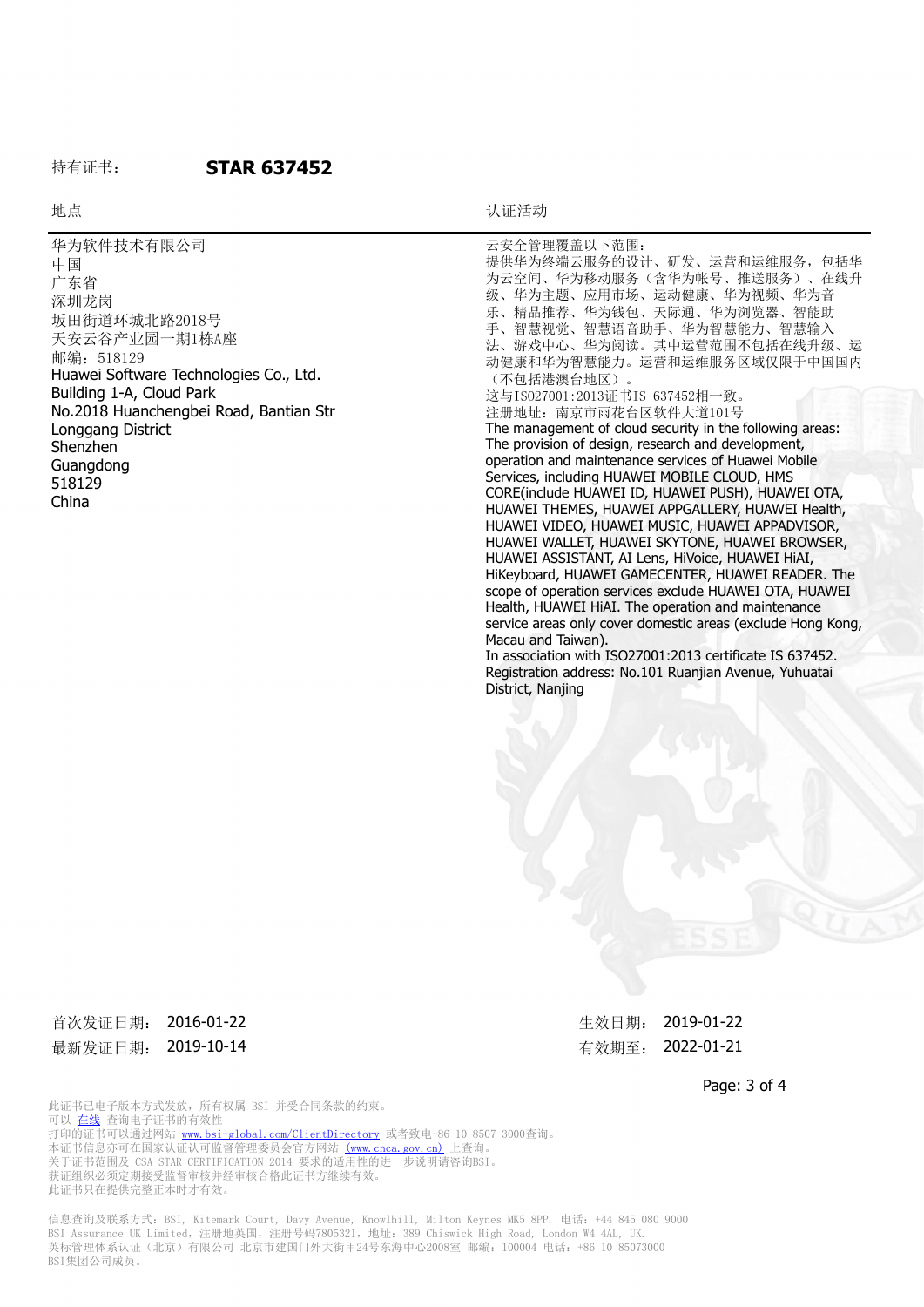#### 持有证书: **STAR 637452**

地点 地点 医心包的 医心包的 医心包的 计二进制 计正活动

| 华为软件技术有限公司<br>中国<br>广东省<br>深圳龙岗<br>坂田街道环城北路2018号<br>天安云谷产业园一期1栋A座<br>邮编: 518129 | 云安全管理覆盖以下范围:<br>提供华为终端云服务的设计、研发、运营和运维服务, 包括华<br>为云空间、华为移动服务(含华为帐号、推送服务)、在线升<br>级、华为主题、应用市场、运动健康、华为视频、华为音<br>乐、精品推荐、华为钱包、天际通、华为浏览器、智能助<br>手、智慧视觉、智慧语音助手、华为智慧能力、智慧输入<br>法、游戏中心、华为阅读。其中运营范围不包括在线升级、运<br>动健康和华为智慧能力。运营和运维服务区域仅限于中国国内 |
|---------------------------------------------------------------------------------|----------------------------------------------------------------------------------------------------------------------------------------------------------------------------------------------------------------------------------|
| Huawei Software Technologies Co., Ltd.                                          | (不包括港澳台地区)。                                                                                                                                                                                                                      |
| Building 1-A, Cloud Park                                                        | 这与IS027001:2013证书IS 637452相一致。                                                                                                                                                                                                   |
| No.2018 Huanchengbei Road, Bantian Str                                          | 注册地址: 南京市雨花台区软件大道101号                                                                                                                                                                                                            |
| Longgang District                                                               | The management of cloud security in the following areas:                                                                                                                                                                         |
| Shenzhen                                                                        | The provision of design, research and development,                                                                                                                                                                               |
| Guangdong                                                                       | operation and maintenance services of Huawei Mobile                                                                                                                                                                              |
| 518129                                                                          | Services, including HUAWEI MOBILE CLOUD, HMS<br>CORE(include HUAWEI ID, HUAWEI PUSH), HUAWEI OTA,                                                                                                                                |
| China                                                                           | HUAWEI THEMES, HUAWEI APPGALLERY, HUAWEI Health,                                                                                                                                                                                 |
|                                                                                 | HUAWEI VIDEO, HUAWEI MUSIC, HUAWEI APPADVISOR,                                                                                                                                                                                   |
|                                                                                 | HUAWEI WALLET, HUAWEI SKYTONE, HUAWEI BROWSER,                                                                                                                                                                                   |
|                                                                                 | HUAWEI ASSISTANT, AI Lens, HiVoice, HUAWEI HIAI,                                                                                                                                                                                 |
|                                                                                 | HiKeyboard, HUAWEI GAMECENTER, HUAWEI READER. The                                                                                                                                                                                |
|                                                                                 | scope of operation services exclude HUAWEI OTA, HUAWEI                                                                                                                                                                           |
|                                                                                 | Health, HUAWEI HiAI. The operation and maintenance                                                                                                                                                                               |
|                                                                                 | service areas only cover domestic areas (exclude Hong Kong,                                                                                                                                                                      |
|                                                                                 | Macau and Taiwan).                                                                                                                                                                                                               |
|                                                                                 | In association with ISO27001:2013 certificate IS 637452.                                                                                                                                                                         |
|                                                                                 | Registration address: No.101 Ruanjian Avenue, Yuhuatai                                                                                                                                                                           |
|                                                                                 | District, Nanjing                                                                                                                                                                                                                |

首次发证日期: 2016-01-22 カランス おおところ 生效日期: 2019-01-22 最新发证日期: 2019-10-14 http://www.com/discommunity.com/discommunity.com/discommunity.com/discommunity.com/discommu

Page: 3 of 4

此证书已电子版本方式发放,所有权属 BSI 并受合同条款的约束。 可以 [在线](https://pgplus.bsigroup.com/CertificateValidation/CertificateValidator.aspx?CertificateNumber=STAR+637452&ReIssueDate=14%2f10%2f2019&Template=cn) 查询电子证书的有效性 打印的证书可以通过网站 <www.bsi-global.com/ClientDirectory>或者致电+86 10 8507 3000查询。 本证书信息亦可在国家认证认可监督管理委员会官方网站 [\(www.cnca.gov.cn\)](www.cnca.gov.cn) 上查询。 关于证书范围及 CSA STAR CERTIFICATION 2014 要求的适用性的进一步说明请咨询BSI。 获证组织必须定期接受监督审核并经审核合格此证书方继续有效。 此证书只在提供完整正本时才有效。

信息查询及联系方式: BSI, Kitemark Court, Davy Avenue, Knowlhill, Milton Keynes MK5 8PP. 电话: +44 845 080 9000 BSI Assurance UK Limited, 注册地英国, 注册号码7805321, 地址: 389 Chiswick High Road, London W4 4AL, UK. 英标管理体系认证(北京)有限公司 北京市建国门外大街甲24号东海中心2008室 邮编:100004 电话:+86 10 85073000 BSI集团公司成员。